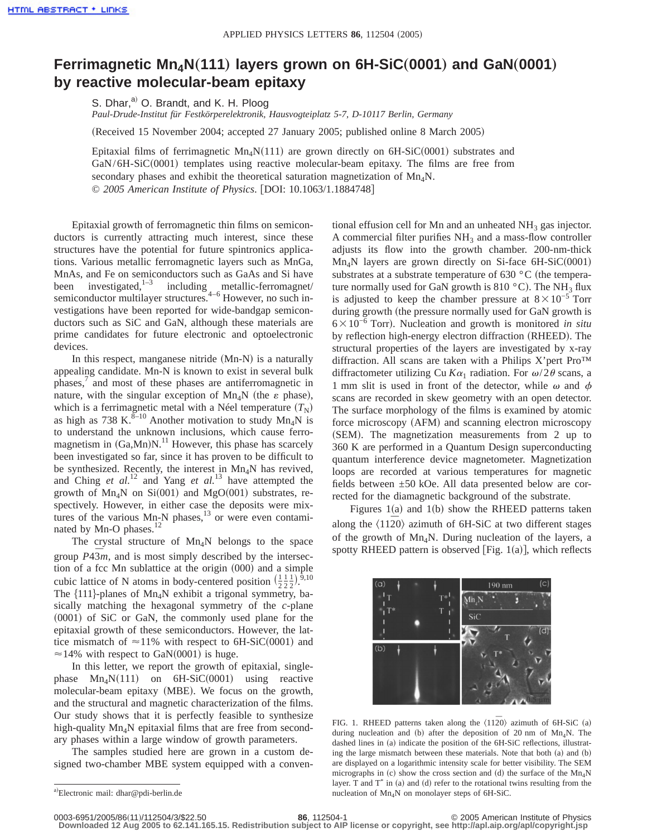## **Ferrimagnetic Mn<sub>4</sub>N(111) layers grown on 6H-SiC(0001) and GaN(0001) by reactive molecular-beam epitaxy**

S. Dhar, $a^{(i)}$  O. Brandt, and K. H. Ploog *Paul-Drude-Institut für Festkörperelektronik, Hausvogteiplatz 5-7, D-10117 Berlin, Germany*

(Received 15 November 2004; accepted 27 January 2005; published online 8 March 2005)

Epitaxial films of ferrimagnetic  $Mn_4N(111)$  are grown directly on 6H-SiC(0001) substrates and  $GaN/6H-SiC(0001)$  templates using reactive molecular-beam epitaxy. The films are free from secondary phases and exhibit the theoretical saturation magnetization of  $Mn_4N$ . © 2005 American Institute of Physics. [DOI: 10.1063/1.1884748]

Epitaxial growth of ferromagnetic thin films on semiconductors is currently attracting much interest, since these structures have the potential for future spintronics applications. Various metallic ferromagnetic layers such as MnGa, MnAs, and Fe on semiconductors such as GaAs and Si have<br>been investigated,  $1-3$  including metallic-ferromagnet/ been investigated, $1-3$  including metallic-ferromagnet/ semiconductor multilayer structures.<sup>4-6</sup> However, no such investigations have been reported for wide-bandgap semiconductors such as SiC and GaN, although these materials are prime candidates for future electronic and optoelectronic devices.

In this respect, manganese nitride  $(Mn-N)$  is a naturally appealing candidate. Mn-N is known to exist in several bulk phases,<sup>7</sup> and most of these phases are antiferromagnetic in nature, with the singular exception of  $Mn_4N$  (the  $\varepsilon$  phase), which is a ferrimagnetic metal with a Néel temperature  $(T_N)$ as high as 738 K. ${}^{8-10}$  Another motivation to study Mn<sub>4</sub>N is to understand the unknown inclusions, which cause ferromagnetism in  $(Ga, Mn)N$ .<sup>11</sup> However, this phase has scarcely been investigated so far, since it has proven to be difficult to be synthesized. Recently, the interest in  $Mn_AN$  has revived, and Ching *et al.*<sup>12</sup> and Yang *et al.*<sup>13</sup> have attempted the growth of  $Mn_4N$  on Si(001) and MgO(001) substrates, respectively. However, in either case the deposits were mixtures of the various  $Mn-N$  phases,<sup>13</sup> or were even contaminated by Mn-O phases.<sup>12</sup>

The crystal structure of  $Mn_4N$  belongs to the space group  $P43m$ , and is most simply described by the intersection of a fcc Mn sublattice at the origin  $(000)$  and a simple cubic lattice of N atoms in body-centered position  $\left(\frac{1}{2}\frac{1}{2}\right)^{\overline{9},10}$ The  $\{111\}$ -planes of Mn<sub>4</sub>N exhibit a trigonal symmetry, basically matching the hexagonal symmetry of the *c*-plane  $(0001)$  of SiC or GaN, the commonly used plane for the epitaxial growth of these semiconductors. However, the lattice mismatch of  $\approx$ 11% with respect to 6H-SiC(0001) and  $\approx$ 14% with respect to GaN(0001) is huge.

In this letter, we report the growth of epitaxial, singlephase  $Mn_4N(111)$  on 6H-SiC(0001) using reactive molecular-beam epitaxy (MBE). We focus on the growth, and the structural and magnetic characterization of the films. Our study shows that it is perfectly feasible to synthesize high-quality  $Mn_4N$  epitaxial films that are free from secondary phases within a large window of growth parameters.

The samples studied here are grown in a custom designed two-chamber MBE system equipped with a conventional effusion cell for Mn and an unheated  $NH<sub>3</sub>$  gas injector. A commercial filter purifies  $NH<sub>3</sub>$  and a mass-flow controller adjusts its flow into the growth chamber. 200-nm-thick  $Mn_4N$  layers are grown directly on Si-face 6H-SiC(0001) substrates at a substrate temperature of 630  $^{\circ}$ C (the temperature normally used for GaN growth is 810  $^{\circ}$ C). The NH<sub>3</sub> flux is adjusted to keep the chamber pressure at  $8 \times 10^{-5}$  Torr during growth (the pressure normally used for GaN growth is 6310−6 Torrd. Nucleation and growth is monitored *in situ* by reflection high-energy electron diffraction (RHEED). The structural properties of the layers are investigated by x-ray diffraction. All scans are taken with a Philips X'pert Pro™ diffractometer utilizing Cu  $K\alpha_1$  radiation. For  $\omega/2\theta$  scans, a 1 mm slit is used in front of the detector, while  $\omega$  and  $\phi$ scans are recorded in skew geometry with an open detector. The surface morphology of the films is examined by atomic force microscopy (AFM) and scanning electron microscopy  $(SEM)$ . The magnetization measurements from 2 up to 360 K are performed in a Quantum Design superconducting quantum interference device magnetometer. Magnetization loops are recorded at various temperatures for magnetic fields between ±50 kOe. All data presented below are corrected for the diamagnetic background of the substrate.

Figures 1(a) and 1(b) show the RHEED patterns taken along the  $\langle 1120 \rangle$  azimuth of 6H-SiC at two different stages of the growth of  $Mn_4N$ . During nucleation of the layers, a spotty RHEED pattern is observed [Fig.  $1(a)$ ], which reflects



FIG. 1. RHEED patterns taken along the  $\langle 11\overline{2}0\rangle$  azimuth of 6H-SiC (a) during nucleation and (b) after the deposition of 20 nm of  $Mn_4N$ . The dashed lines in (a) indicate the position of the 6H-SiC reflections, illustrating the large mismatch between these materials. Note that both  $(a)$  and  $(b)$ are displayed on a logarithmic intensity scale for better visibility. The SEM micrographs in (c) show the cross section and (d) the surface of the  $Mn_4N$ layer. T and  $T^*$  in (a) and (d) refer to the rotational twins resulting from the nucleation of  $Mn_AN$  on monolayer steps of 6H-SiC.

**Downloaded 12 Aug 2005 to 62.141.165.15. Redistribution subject to AIP license or copyright, see http://apl.aip.org/apl/copyright.jsp**

a)Electronic mail: dhar@pdi-berlin.de

<sup>0003-6951/2005/86(11)/112504/3/\$22.50</sup> **86**, 112504-1 © 2005 American Institute of Physics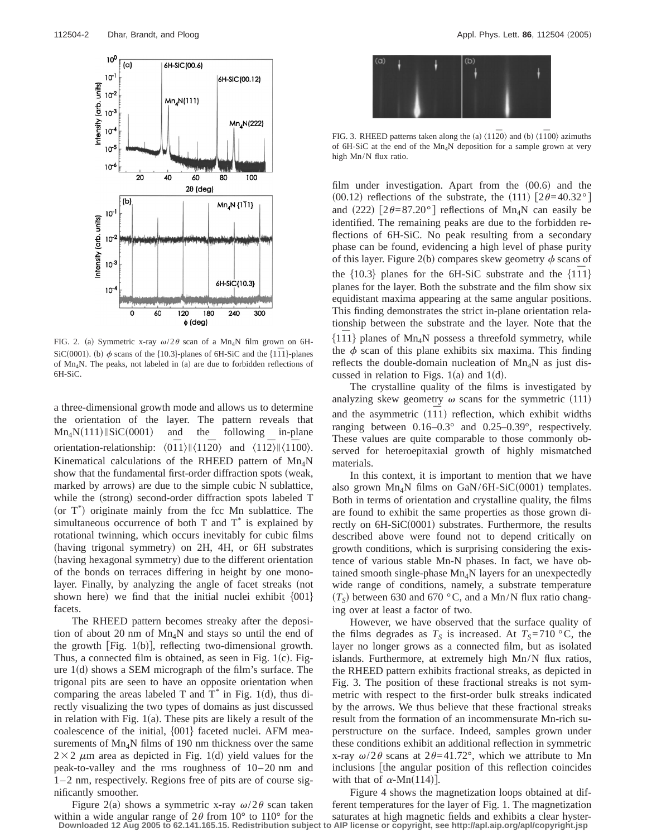

FIG. 2. (a) Symmetric x-ray  $\omega/2\theta$  scan of a Mn<sub>4</sub>N film grown on 6H-SiC(0001). (b)  $\phi$  scans of the {10.3}-planes of 6H-SiC and the {11<sup> $\overline{1}$ </sup>}-planes of  $Mn_4N$ . The peaks, not labeled in (a) are due to forbidden reflections of 6H-SiC.

a three-dimensional growth mode and allows us to determine the orientation of the layer. The pattern reveals that  $Mn_4N(111)$   $Sic(0001)$  and the following in-plane orientation-relationship:  $\langle 0\overline{1}1\rangle$ || $\langle 11\overline{2}0\rangle$  and  $\langle 11\overline{2}\rangle$ || $\langle 1\overline{1}00\rangle$ . Kinematical calculations of the RHEED pattern of  $Mn_4N$ show that the fundamental first-order diffraction spots (weak, marked by arrows) are due to the simple cubic  $N$  sublattice, while the (strong) second-order diffraction spots labeled T (or  $T^*$ ) originate mainly from the fcc Mn sublattice. The simultaneous occurrence of both  $T$  and  $T^*$  is explained by rotational twinning, which occurs inevitably for cubic films (having trigonal symmetry) on 2H, 4H, or 6H substrates (having hexagonal symmetry) due to the different orientation of the bonds on terraces differing in height by one monolayer. Finally, by analyzing the angle of facet streaks (not shown here) we find that the initial nuclei exhibit  $\{001\}$ facets.

The RHEED pattern becomes streaky after the deposition of about 20 nm of Mn<sub>4</sub>N and stays so until the end of the growth [Fig.  $1(b)$ ], reflecting two-dimensional growth. Thus, a connected film is obtained, as seen in Fig.  $1(c)$ . Figure  $1(d)$  shows a SEM micrograph of the film's surface. The trigonal pits are seen to have an opposite orientation when comparing the areas labeled T and  $T^*$  in Fig. 1(d), thus directly visualizing the two types of domains as just discussed in relation with Fig.  $1(a)$ . These pits are likely a result of the coalescence of the initial,  ${001}$  faceted nuclei. AFM measurements of  $Mn_4N$  films of 190 nm thickness over the same  $2\times2$   $\mu$ m area as depicted in Fig. 1(d) yield values for the peak-to-valley and the rms roughness of 10–20 nm and 1–2 nm, respectively. Regions free of pits are of course significantly smoother.

Figure 2(a) shows a symmetric x-ray  $\omega/2\theta$  scan taken within a wide angular range of  $2\theta$  from  $10^{\circ}$  to  $110^{\circ}$  for the



FIG. 3. RHEED patterns taken along the (a)  $\langle 11\overline{2}0 \rangle$  and (b)  $\langle 1\overline{1}00 \rangle$  azimuths of 6H-SiC at the end of the Mn<sub>4</sub>N deposition for a sample grown at very high Mn/N flux ratio.

film under investigation. Apart from the  $(00.6)$  and the  $(00.12)$  reflections of the substrate, the  $(111)$   $[2\theta=40.32^{\circ}]$ and (222)  $\left[2\theta = 87.20^{\circ}\right]$  reflections of Mn<sub>4</sub>N can easily be identified. The remaining peaks are due to the forbidden reflections of 6H-SiC. No peak resulting from a secondary phase can be found, evidencing a high level of phase purity of this layer. Figure 2(b) compares skew geometry  $\phi$  scans of the  $\{10.3\}$  planes for the 6H-SiC substrate and the  $\{111\}$ planes for the layer. Both the substrate and the film show six equidistant maxima appearing at the same angular positions. This finding demonstrates the strict in-plane orientation relationship between the substrate and the layer. Note that the  $\{111\}$  planes of Mn<sub>4</sub>N possess a threefold symmetry, while the  $\phi$  scan of this plane exhibits six maxima. This finding reflects the double-domain nucleation of  $Mn_4N$  as just discussed in relation to Figs.  $1(a)$  and  $1(d)$ .

The crystalline quality of the films is investigated by analyzing skew geometry  $\omega$  scans for the symmetric (111) and the asymmetric (111) reflection, which exhibit widths ranging between 0.16–0.3° and 0.25–0.39°, respectively. These values are quite comparable to those commonly observed for heteroepitaxial growth of highly mismatched materials.

In this context, it is important to mention that we have also grown  $Mn_4N$  films on  $GaN/6H-SiC(0001)$  templates. Both in terms of orientation and crystalline quality, the films are found to exhibit the same properties as those grown directly on  $6H-SiC(0001)$  substrates. Furthermore, the results described above were found not to depend critically on growth conditions, which is surprising considering the existence of various stable Mn-N phases. In fact, we have obtained smooth single-phase  $Mn_4N$  layers for an unexpectedly wide range of conditions, namely, a substrate temperature  $(T<sub>S</sub>)$  between 630 and 670 °C, and a Mn/N flux ratio changing over at least a factor of two.

However, we have observed that the surface quality of the films degrades as  $T<sub>S</sub>$  is increased. At  $T<sub>S</sub>=710$  °C, the layer no longer grows as a connected film, but as isolated islands. Furthermore, at extremely high Mn/N flux ratios, the RHEED pattern exhibits fractional streaks, as depicted in Fig. 3. The position of these fractional streaks is not symmetric with respect to the first-order bulk streaks indicated by the arrows. We thus believe that these fractional streaks result from the formation of an incommensurate Mn-rich superstructure on the surface. Indeed, samples grown under these conditions exhibit an additional reflection in symmetric x-ray  $\omega/2\theta$  scans at  $2\theta=41.72^{\circ}$ , which we attribute to Mn inclusions [the angular position of this reflection coincides with that of  $\alpha$ -Mn(114).

Figure 4 shows the magnetization loops obtained at different temperatures for the layer of Fig. 1. The magnetization saturates at high magnetic fields and exhibits a clear hyster-**Downloaded 12 Aug 2005 to 62.141.165.15. Redistribution subject to AIP license or copyright, see http://apl.aip.org/apl/copyright.jsp**